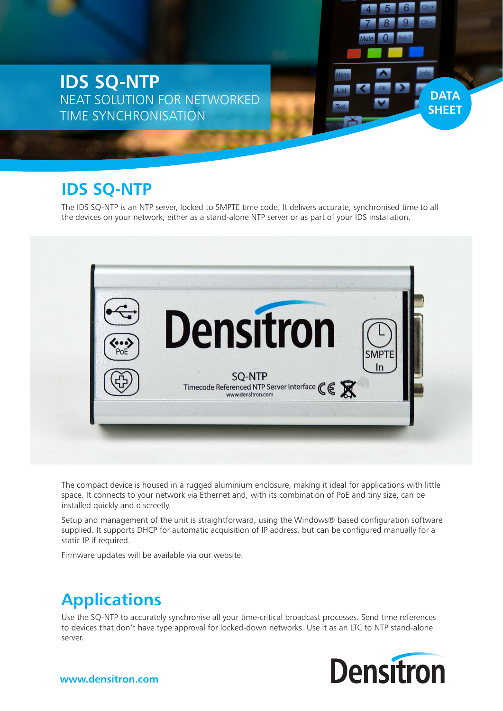**IDS SQ-NTP** NEAT SOLUTION FOR NETWORKED TIME SYNCHRONISATION

### **IDS SQ-NTP**

The IDS SQ-NTP is an NTP server, locked to SMPTE time code. It delivers accurate, synchronised time to all the devices on your network, either as a stand-alone NTP server or as part of your IDS installation.



The compact device is housed in a rugged aluminium enclosure, making it ideal for applications with little space. It connects to your network via Ethernet and, with its combination of PoE and tiny size, can be installed quickly and discreetly.

Setup and management of the unit is straightforward, using the Windows® based configuration software supplied. It supports DHCP for automatic acquisition of IP address, but can be configured manually for a static IP if required.

Firmware updates will be available via our website.

## **Applications**

Use the SQ-NTP to accurately synchronise all your time-critical broadcast processes. Send time references to devices that don't have type approval for locked-down networks. Use it as an LTC to NTP stand-alone server.



**DATA SHEET**